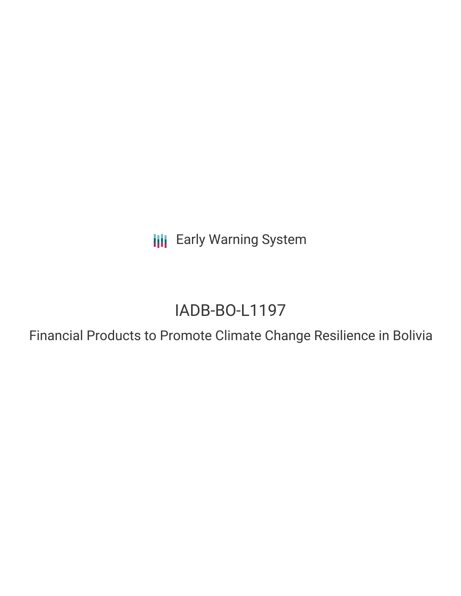**III** Early Warning System

# IADB-BO-L1197

Financial Products to Promote Climate Change Resilience in Bolivia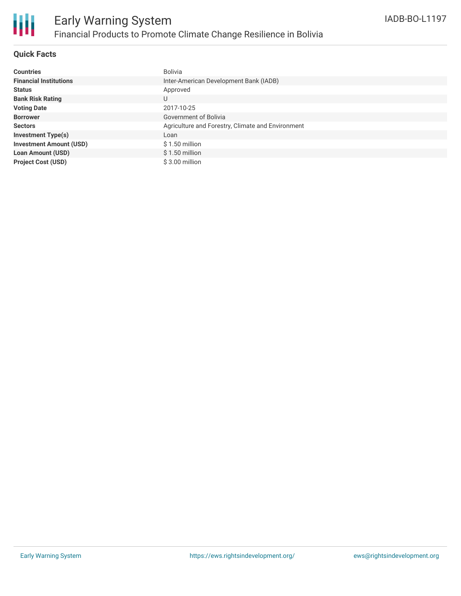

### **Quick Facts**

| <b>Countries</b>               | Bolivia                                           |
|--------------------------------|---------------------------------------------------|
| <b>Financial Institutions</b>  | Inter-American Development Bank (IADB)            |
| <b>Status</b>                  | Approved                                          |
| <b>Bank Risk Rating</b>        | U                                                 |
| <b>Voting Date</b>             | 2017-10-25                                        |
| <b>Borrower</b>                | Government of Bolivia                             |
| <b>Sectors</b>                 | Agriculture and Forestry, Climate and Environment |
| <b>Investment Type(s)</b>      | Loan                                              |
| <b>Investment Amount (USD)</b> | $$1.50$ million                                   |
| <b>Loan Amount (USD)</b>       | $$1.50$ million                                   |
| <b>Project Cost (USD)</b>      | $$3.00$ million                                   |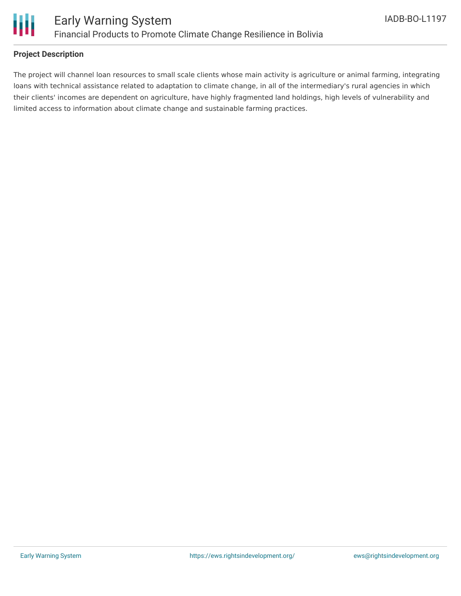

### **Project Description**

The project will channel loan resources to small scale clients whose main activity is agriculture or animal farming, integrating loans with technical assistance related to adaptation to climate change, in all of the intermediary's rural agencies in which their clients' incomes are dependent on agriculture, have highly fragmented land holdings, high levels of vulnerability and limited access to information about climate change and sustainable farming practices.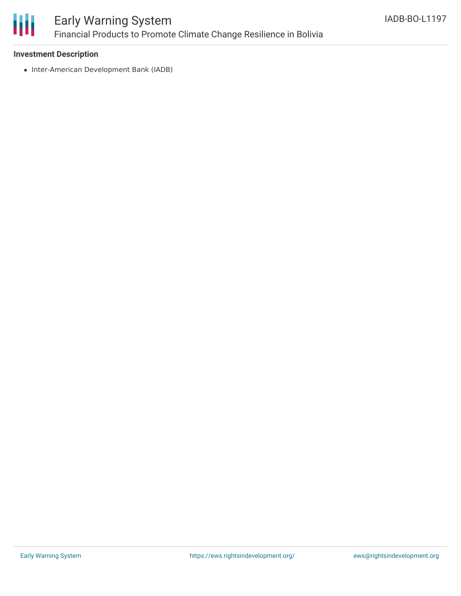

## Early Warning System Financial Products to Promote Climate Change Resilience in Bolivia

### **Investment Description**

• Inter-American Development Bank (IADB)